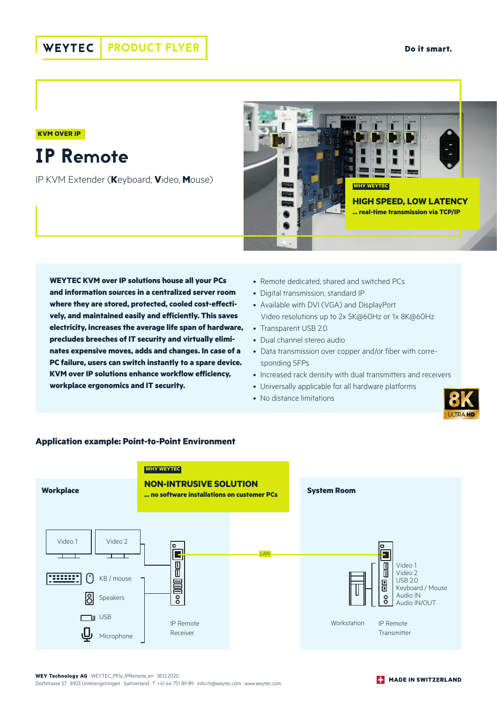**KVM OVER IP**

## IP Remote

IP KVM Extender (**K**eyboard, **V**ideo, **M**ouse)



**WEYTEC KVM over IP solutions house all your PCs and information sources in a centralized server room where they are stored, protected, cooled cost-effectively, and maintained easily and efficiently. This saves electricity, increases the average life span of hardware, precludes breeches of IT security and virtually eliminates expensive moves, adds and changes. In case of a PC failure, users can switch instantly to a spare device. KVM over IP solutions enhance workflow efficiency, workplace ergonomics and IT security.**

- Remote dedicated, shared and switched PCs
- Digital transmission, standard IP
- Available with DVI (VGA) and DisplayPort Video resolutions up to 2x 5K@60Hz or 1x 8K@60Hz
- Transparent USB 2.0
- Dual channel stereo audio
- Data transmission over copper and/or fiber with corresponding SFPs
- Increased rack density with dual transmitters and receivers
- Universally applicable for all hardware platforms
- No distance limitations





## **Application example: Point-to-Point Environment**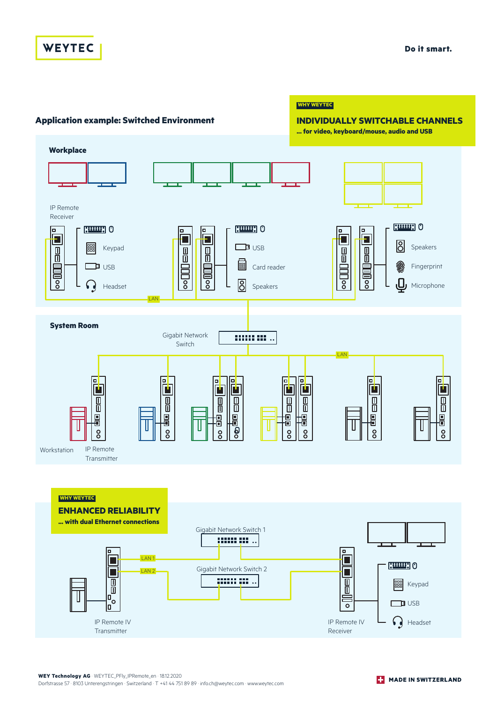## **WEYTEC**

**Do it smart.**